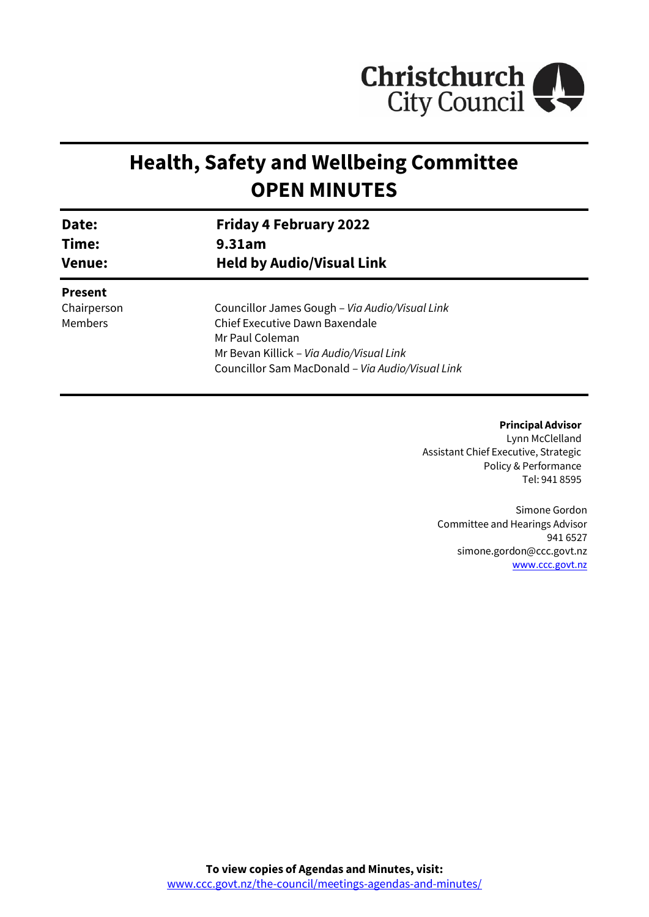

# **Health, Safety and Wellbeing Committee OPEN MINUTES**

| Date:<br>Time:<br><b>Venue:</b> | <b>Friday 4 February 2022</b><br>9.31am<br><b>Held by Audio/Visual Link</b> |                |
|---------------------------------|-----------------------------------------------------------------------------|----------------|
|                                 |                                                                             |                |
|                                 |                                                                             | <b>Present</b> |
| Chairperson                     | Councillor James Gough - Via Audio/Visual Link                              |                |
| Members                         | Chief Executive Dawn Baxendale                                              |                |
|                                 | Mr Paul Coleman                                                             |                |
|                                 | Mr Bevan Killick - Via Audio/Visual Link                                    |                |
|                                 | Councillor Sam MacDonald - Via Audio/Visual Link                            |                |

**Principal Advisor** Lynn McClelland Assistant Chief Executive, Strategic Policy & Performance Tel: 941 8595

Simone Gordon Committee and Hearings Advisor 941 6527 simone.gordon@ccc.govt.nz [www.ccc.govt.nz](http://www.ccc.govt.nz/)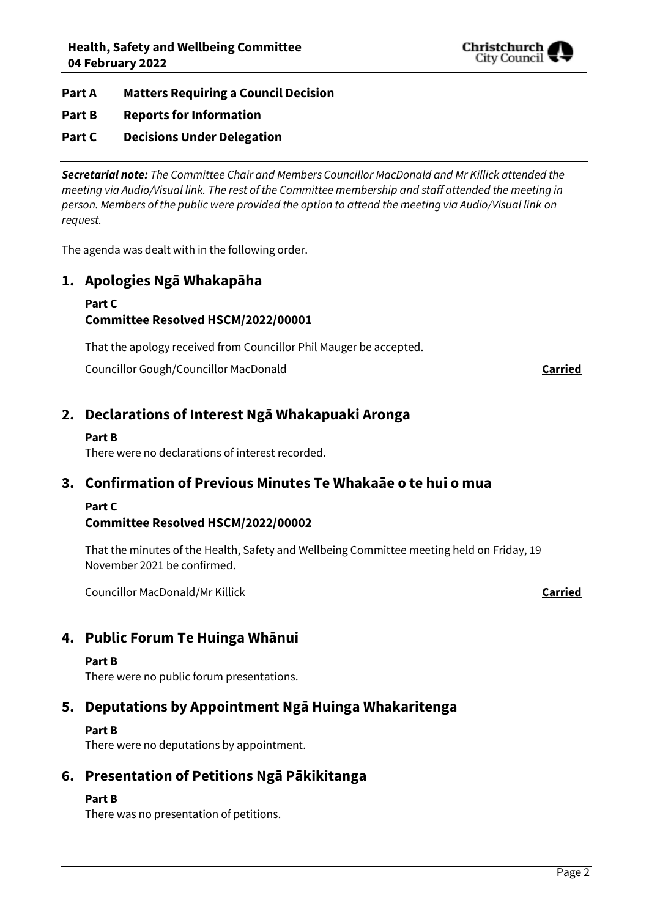

## **Part A Matters Requiring a Council Decision**

## **Part B Reports for Information**

## **Part C Decisions Under Delegation**

*Secretarial note: The Committee Chair and Members Councillor MacDonald and Mr Killick attended the meeting via Audio/Visual link. The rest of the Committee membership and staff attended the meeting in person. Members of the public were provided the option to attend the meeting via Audio/Visual link on request.* 

The agenda was dealt with in the following order.

# **1. Apologies Ngā Whakapāha**

#### **Part C Committee Resolved HSCM/2022/00001**

That the apology received from Councillor Phil Mauger be accepted.

Councillor Gough/Councillor MacDonald **Carried**

# **2. Declarations of Interest Ngā Whakapuaki Aronga**

#### **Part B**

There were no declarations of interest recorded.

# **3. Confirmation of Previous Minutes Te Whakaāe o te hui o mua**

## **Part C**

# **Committee Resolved HSCM/2022/00002**

That the minutes of the Health, Safety and Wellbeing Committee meeting held on Friday, 19 November 2021 be confirmed.

Councillor MacDonald/Mr Killick **Carried**

# **4. Public Forum Te Huinga Whānui**

#### **Part B**

There were no public forum presentations.

# **5. Deputations by Appointment Ngā Huinga Whakaritenga**

# **Part B**

There were no deputations by appointment.

# **6. Presentation of Petitions Ngā Pākikitanga**

# **Part B**

There was no presentation of petitions.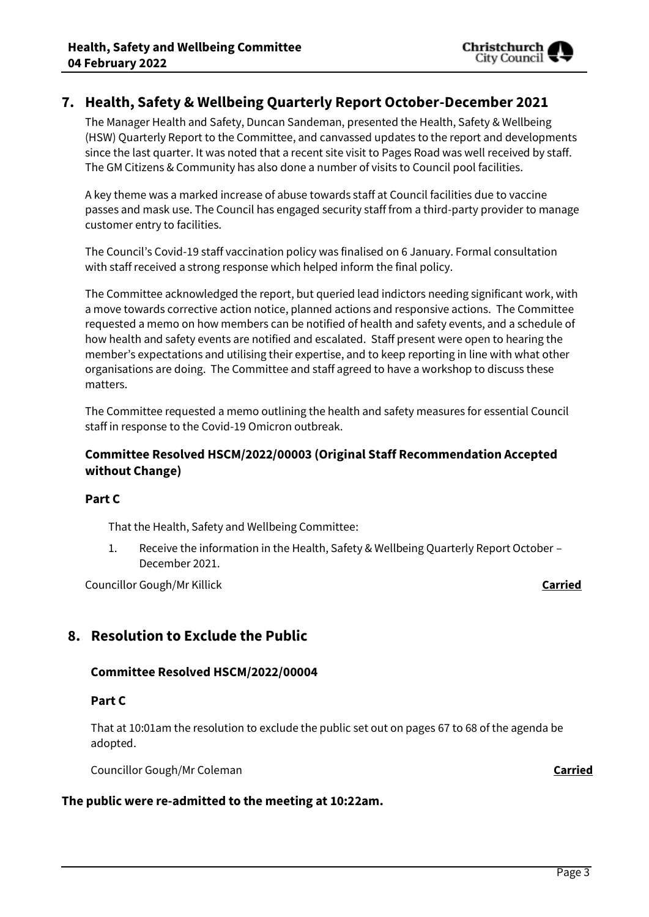# **7. Health, Safety & Wellbeing Quarterly Report October-December 2021**

The Manager Health and Safety, Duncan Sandeman, presented the Health, Safety & Wellbeing (HSW) Quarterly Report to the Committee, and canvassed updates to the report and developments since the last quarter. It was noted that a recent site visit to Pages Road was well received by staff. The GM Citizens & Community has also done a number of visits to Council pool facilities.

A key theme was a marked increase of abuse towards staff at Council facilities due to vaccine passes and mask use. The Council has engaged security staff from a third-party provider to manage customer entry to facilities.

The Council's Covid-19 staff vaccination policy was finalised on 6 January. Formal consultation with staff received a strong response which helped inform the final policy.

The Committee acknowledged the report, but queried lead indictors needing significant work, with a move towards corrective action notice, planned actions and responsive actions. The Committee requested a memo on how members can be notified of health and safety events, and a schedule of how health and safety events are notified and escalated. Staff present were open to hearing the member's expectations and utilising their expertise, and to keep reporting in line with what other organisations are doing. The Committee and staff agreed to have a workshop to discuss these matters.

The Committee requested a memo outlining the health and safety measures for essential Council staff in response to the Covid-19 Omicron outbreak.

## **Committee Resolved HSCM/2022/00003 (Original Staff Recommendation Accepted without Change)**

#### **Part C**

That the Health, Safety and Wellbeing Committee:

1. Receive the information in the Health, Safety & Wellbeing Quarterly Report October – December 2021.

Councillor Gough/Mr Killick **Carried**

# **8. Resolution to Exclude the Public**

## **Committee Resolved HSCM/2022/00004**

#### **Part C**

That at 10:01am the resolution to exclude the public set out on pages 67 to 68 of the agenda be adopted.

Councillor Gough/Mr Coleman **Carried**

#### **The public were re-admitted to the meeting at 10:22am.**